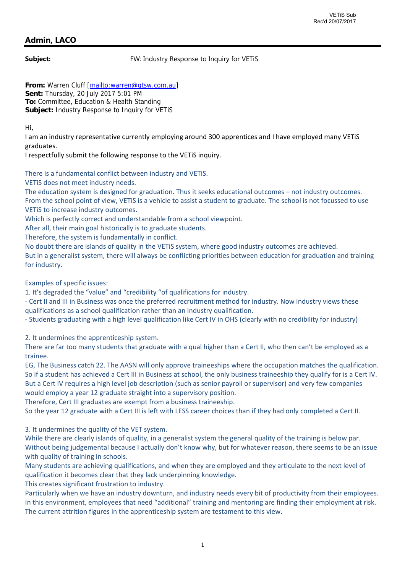## **Admin, LACO**

**Subject:** FW: Industry Response to Inquiry for VETiS

From: Warren Cluff [mailto:warren@gtsw.com.au] **Sent:** Thursday, 20 July 2017 5:01 PM **To:** Committee, Education & Health Standing **Subject:** Industry Response to Inquiry for VETiS

Hi,

I am an industry representative currently employing around 300 apprentices and I have employed many VETiS graduates.

I respectfully submit the following response to the VETiS inquiry.

There is a fundamental conflict between industry and VETiS.

## VETiS does not meet industry needs.

The education system is designed for graduation. Thus it seeks educational outcomes – not industry outcomes. From the school point of view, VETiS is a vehicle to assist a student to graduate. The school is not focussed to use VETiS to increase industry outcomes.

Which is perfectly correct and understandable from a school viewpoint.

After all, their main goal historically is to graduate students.

Therefore, the system is fundamentally in conflict.

No doubt there are islands of quality in the VETiS system, where good industry outcomes are achieved.

But in a generalist system, there will always be conflicting priorities between education for graduation and training for industry.

Examples of specific issues:

1. It's degraded the "value" and "credibility "of qualifications for industry.

‐ Cert II and III in Business was once the preferred recruitment method for industry. Now industry views these qualifications as a school qualification rather than an industry qualification.

‐ Students graduating with a high level qualification like Cert IV in OHS (clearly with no credibility for industry)

2. It undermines the apprenticeship system.

There are far too many students that graduate with a qual higher than a Cert II, who then can't be employed as a trainee.

EG, The Business catch 22. The AASN will only approve traineeships where the occupation matches the qualification. So if a student has achieved a Cert III in Business at school, the only business traineeship they qualify for is a Cert IV. But a Cert IV requires a high level job description (such as senior payroll or supervisor) and very few companies would employ a year 12 graduate straight into a supervisory position.

Therefore, Cert III graduates are exempt from a business traineeship.

So the year 12 graduate with a Cert III is left with LESS career choices than if they had only completed a Cert II.

3. It undermines the quality of the VET system.

While there are clearly islands of quality, in a generalist system the general quality of the training is below par. Without being judgemental because I actually don't know why, but for whatever reason, there seems to be an issue with quality of training in schools.

Many students are achieving qualifications, and when they are employed and they articulate to the next level of qualification it becomes clear that they lack underpinning knowledge.

This creates significant frustration to industry.

Particularly when we have an industry downturn, and industry needs every bit of productivity from their employees. In this environment, employees that need "additional" training and mentoring are finding their employment at risk. The current attrition figures in the apprenticeship system are testament to this view.